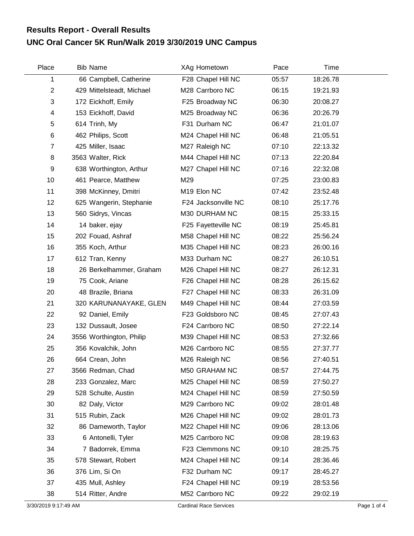## **UNC Oral Cancer 5K Run/Walk 2019 3/30/2019 UNC Campus Results Report - Overall Results**

| Place          | <b>Bib Name</b>           | XAg Hometown        | Pace  | Time     |  |
|----------------|---------------------------|---------------------|-------|----------|--|
| 1              | 66 Campbell, Catherine    | F28 Chapel Hill NC  | 05:57 | 18:26.78 |  |
| $\overline{c}$ | 429 Mittelsteadt, Michael | M28 Carrboro NC     | 06:15 | 19:21.93 |  |
| 3              | 172 Eickhoff, Emily       | F25 Broadway NC     | 06:30 | 20:08.27 |  |
| 4              | 153 Eickhoff, David       | M25 Broadway NC     | 06:36 | 20:26.79 |  |
| 5              | 614 Trinh, My             | F31 Durham NC       | 06:47 | 21:01.07 |  |
| 6              | 462 Philips, Scott        | M24 Chapel Hill NC  | 06:48 | 21:05.51 |  |
| 7              | 425 Miller, Isaac         | M27 Raleigh NC      | 07:10 | 22:13.32 |  |
| 8              | 3563 Walter, Rick         | M44 Chapel Hill NC  | 07:13 | 22:20.84 |  |
| 9              | 638 Worthington, Arthur   | M27 Chapel Hill NC  | 07:16 | 22:32.08 |  |
| 10             | 461 Pearce, Matthew       | M29                 | 07:25 | 23:00.83 |  |
| 11             | 398 McKinney, Dmitri      | M19 Elon NC         | 07:42 | 23:52.48 |  |
| 12             | 625 Wangerin, Stephanie   | F24 Jacksonville NC | 08:10 | 25:17.76 |  |
| 13             | 560 Sidrys, Vincas        | M30 DURHAM NC       | 08:15 | 25:33.15 |  |
| 14             | 14 baker, ejay            | F25 Fayetteville NC | 08:19 | 25:45.81 |  |
| 15             | 202 Fouad, Ashraf         | M58 Chapel Hill NC  | 08:22 | 25:56.24 |  |
| 16             | 355 Koch, Arthur          | M35 Chapel Hill NC  | 08:23 | 26:00.16 |  |
| 17             | 612 Tran, Kenny           | M33 Durham NC       | 08:27 | 26:10.51 |  |
| 18             | 26 Berkelhammer, Graham   | M26 Chapel Hill NC  | 08:27 | 26:12.31 |  |
| 19             | 75 Cook, Ariane           | F26 Chapel Hill NC  | 08:28 | 26:15.62 |  |
| 20             | 48 Brazile, Briana        | F27 Chapel Hill NC  | 08:33 | 26:31.09 |  |
| 21             | 320 KARUNANAYAKE, GLEN    | M49 Chapel Hill NC  | 08:44 | 27:03.59 |  |
| 22             | 92 Daniel, Emily          | F23 Goldsboro NC    | 08:45 | 27:07.43 |  |
| 23             | 132 Dussault, Josee       | F24 Carrboro NC     | 08:50 | 27:22.14 |  |
| 24             | 3556 Worthington, Philip  | M39 Chapel Hill NC  | 08:53 | 27:32.66 |  |
| 25             | 356 Kovalchik, John       | M26 Carrboro NC     | 08:55 | 27:37.77 |  |
| 26             | 664 Crean, John           | M26 Raleigh NC      | 08:56 | 27:40.51 |  |
| 27             | 3566 Redman, Chad         | M50 GRAHAM NC       | 08:57 | 27:44.75 |  |
| 28             | 233 Gonzalez, Marc        | M25 Chapel Hill NC  | 08:59 | 27:50.27 |  |
| 29             | 528 Schulte, Austin       | M24 Chapel Hill NC  | 08:59 | 27:50.59 |  |
| 30             | 82 Daly, Victor           | M29 Carrboro NC     | 09:02 | 28:01.48 |  |
| 31             | 515 Rubin, Zack           | M26 Chapel Hill NC  | 09:02 | 28:01.73 |  |
| 32             | 86 Dameworth, Taylor      | M22 Chapel Hill NC  | 09:06 | 28:13.06 |  |
| 33             | 6 Antonelli, Tyler        | M25 Carrboro NC     | 09:08 | 28:19.63 |  |
| 34             | 7 Badorrek, Emma          | F23 Clemmons NC     | 09:10 | 28:25.75 |  |
| 35             | 578 Stewart, Robert       | M24 Chapel Hill NC  | 09:14 | 28:36.46 |  |
| 36             | 376 Lim, Si On            | F32 Durham NC       | 09:17 | 28:45.27 |  |
| 37             | 435 Mull, Ashley          | F24 Chapel Hill NC  | 09:19 | 28:53.56 |  |
| 38             | 514 Ritter, Andre         | M52 Carrboro NC     | 09:22 | 29:02.19 |  |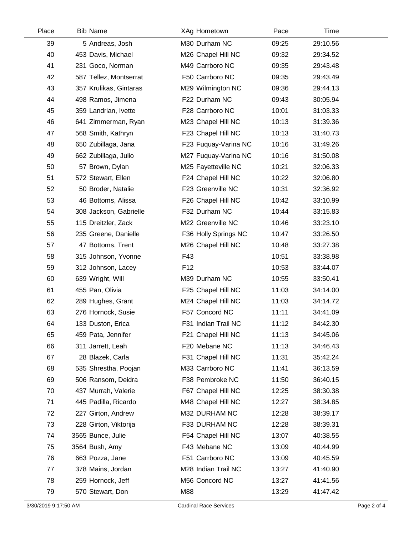| Place | <b>Bib Name</b>        | XAg Hometown         | Pace  | Time     |  |
|-------|------------------------|----------------------|-------|----------|--|
| 39    | 5 Andreas, Josh        | M30 Durham NC        | 09:25 | 29:10.56 |  |
| 40    | 453 Davis, Michael     | M26 Chapel Hill NC   | 09:32 | 29:34.52 |  |
| 41    | 231 Goco, Norman       | M49 Carrboro NC      | 09:35 | 29:43.48 |  |
| 42    | 587 Tellez, Montserrat | F50 Carrboro NC      | 09:35 | 29:43.49 |  |
| 43    | 357 Krulikas, Gintaras | M29 Wilmington NC    | 09:36 | 29:44.13 |  |
| 44    | 498 Ramos, Jimena      | F22 Durham NC        | 09:43 | 30:05.94 |  |
| 45    | 359 Landrian, Ivette   | F28 Carrboro NC      | 10:01 | 31:03.33 |  |
| 46    | 641 Zimmerman, Ryan    | M23 Chapel Hill NC   | 10:13 | 31:39.36 |  |
| 47    | 568 Smith, Kathryn     | F23 Chapel Hill NC   | 10:13 | 31:40.73 |  |
| 48    | 650 Zubillaga, Jana    | F23 Fuquay-Varina NC | 10:16 | 31:49.26 |  |
| 49    | 662 Zubillaga, Julio   | M27 Fuquay-Varina NC | 10:16 | 31:50.08 |  |
| 50    | 57 Brown, Dylan        | M25 Fayetteville NC  | 10:21 | 32:06.33 |  |
| 51    | 572 Stewart, Ellen     | F24 Chapel Hill NC   | 10:22 | 32:06.80 |  |
| 52    | 50 Broder, Natalie     | F23 Greenville NC    | 10:31 | 32:36.92 |  |
| 53    | 46 Bottoms, Alissa     | F26 Chapel Hill NC   | 10:42 | 33:10.99 |  |
| 54    | 308 Jackson, Gabrielle | F32 Durham NC        | 10:44 | 33:15.83 |  |
| 55    | 115 Dreitzler, Zack    | M22 Greenville NC    | 10:46 | 33:23.10 |  |
| 56    | 235 Greene, Danielle   | F36 Holly Springs NC | 10:47 | 33:26.50 |  |
| 57    | 47 Bottoms, Trent      | M26 Chapel Hill NC   | 10:48 | 33:27.38 |  |
| 58    | 315 Johnson, Yvonne    | F43                  | 10:51 | 33:38.98 |  |
| 59    | 312 Johnson, Lacey     | F <sub>12</sub>      | 10:53 | 33:44.07 |  |
| 60    | 639 Wright, Will       | M39 Durham NC        | 10:55 | 33:50.41 |  |
| 61    | 455 Pan, Olivia        | F25 Chapel Hill NC   | 11:03 | 34:14.00 |  |
| 62    | 289 Hughes, Grant      | M24 Chapel Hill NC   | 11:03 | 34:14.72 |  |
| 63    | 276 Hornock, Susie     | F57 Concord NC       | 11:11 | 34:41.09 |  |
| 64    | 133 Duston, Erica      | F31 Indian Trail NC  | 11:12 | 34:42.30 |  |
| 65    | 459 Pata, Jennifer     | F21 Chapel Hill NC   | 11:13 | 34:45.06 |  |
| 66    | 311 Jarrett, Leah      | F20 Mebane NC        | 11:13 | 34:46.43 |  |
| 67    | 28 Blazek, Carla       | F31 Chapel Hill NC   | 11:31 | 35:42.24 |  |
| 68    | 535 Shrestha, Poojan   | M33 Carrboro NC      | 11:41 | 36:13.59 |  |
| 69    | 506 Ransom, Deidra     | F38 Pembroke NC      | 11:50 | 36:40.15 |  |
| 70    | 437 Murrah, Valerie    | F67 Chapel Hill NC   | 12:25 | 38:30.38 |  |
| 71    | 445 Padilla, Ricardo   | M48 Chapel Hill NC   | 12:27 | 38:34.85 |  |
| 72    | 227 Girton, Andrew     | M32 DURHAM NC        | 12:28 | 38:39.17 |  |
| 73    | 228 Girton, Viktorija  | F33 DURHAM NC        | 12:28 | 38:39.31 |  |
| 74    | 3565 Bunce, Julie      | F54 Chapel Hill NC   | 13:07 | 40:38.55 |  |
| 75    | 3564 Bush, Amy         | F43 Mebane NC        | 13:09 | 40:44.99 |  |
| 76    | 663 Pozza, Jane        | F51 Carrboro NC      | 13:09 | 40:45.59 |  |
| 77    | 378 Mains, Jordan      | M28 Indian Trail NC  | 13:27 | 41:40.90 |  |
| 78    | 259 Hornock, Jeff      | M56 Concord NC       | 13:27 | 41:41.56 |  |
| 79    | 570 Stewart, Don       | M88                  | 13:29 | 41:47.42 |  |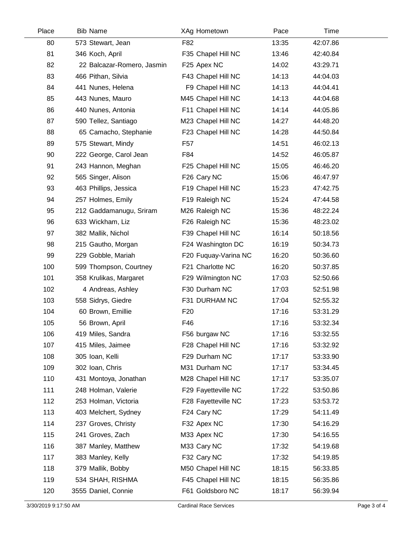| Place | <b>Bib Name</b>            | XAg Hometown         | Pace  | Time     |  |
|-------|----------------------------|----------------------|-------|----------|--|
| 80    | 573 Stewart, Jean          | F82                  | 13:35 | 42:07.86 |  |
| 81    | 346 Koch, April            | F35 Chapel Hill NC   | 13:46 | 42:40.84 |  |
| 82    | 22 Balcazar-Romero, Jasmin | F25 Apex NC          | 14:02 | 43:29.71 |  |
| 83    | 466 Pithan, Silvia         | F43 Chapel Hill NC   | 14:13 | 44:04.03 |  |
| 84    | 441 Nunes, Helena          | F9 Chapel Hill NC    | 14:13 | 44:04.41 |  |
| 85    | 443 Nunes, Mauro           | M45 Chapel Hill NC   | 14:13 | 44:04.68 |  |
| 86    | 440 Nunes, Antonia         | F11 Chapel Hill NC   | 14:14 | 44:05.86 |  |
| 87    | 590 Tellez, Santiago       | M23 Chapel Hill NC   | 14:27 | 44:48.20 |  |
| 88    | 65 Camacho, Stephanie      | F23 Chapel Hill NC   | 14:28 | 44:50.84 |  |
| 89    | 575 Stewart, Mindy         | F57                  | 14:51 | 46:02.13 |  |
| 90    | 222 George, Carol Jean     | F84                  | 14:52 | 46:05.87 |  |
| 91    | 243 Hannon, Meghan         | F25 Chapel Hill NC   | 15:05 | 46:46.20 |  |
| 92    | 565 Singer, Alison         | F26 Cary NC          | 15:06 | 46:47.97 |  |
| 93    | 463 Phillips, Jessica      | F19 Chapel Hill NC   | 15:23 | 47:42.75 |  |
| 94    | 257 Holmes, Emily          | F19 Raleigh NC       | 15:24 | 47:44.58 |  |
| 95    | 212 Gaddamanugu, Sriram    | M26 Raleigh NC       | 15:36 | 48:22.24 |  |
| 96    | 633 Wickham, Liz           | F26 Raleigh NC       | 15:36 | 48:23.02 |  |
| 97    | 382 Mallik, Nichol         | F39 Chapel Hill NC   | 16:14 | 50:18.56 |  |
| 98    | 215 Gautho, Morgan         | F24 Washington DC    | 16:19 | 50:34.73 |  |
| 99    | 229 Gobble, Mariah         | F20 Fuquay-Varina NC | 16:20 | 50:36.60 |  |
| 100   | 599 Thompson, Courtney     | F21 Charlotte NC     | 16:20 | 50:37.85 |  |
| 101   | 358 Krulikas, Margaret     | F29 Wilmington NC    | 17:03 | 52:50.66 |  |
| 102   | 4 Andreas, Ashley          | F30 Durham NC        | 17:03 | 52:51.98 |  |
| 103   | 558 Sidrys, Giedre         | F31 DURHAM NC        | 17:04 | 52:55.32 |  |
| 104   | 60 Brown, Emillie          | F <sub>20</sub>      | 17:16 | 53:31.29 |  |
| 105   | 56 Brown, April            | F46                  | 17:16 | 53:32.34 |  |
| 106   | 419 Miles, Sandra          | F56 burgaw NC        | 17:16 | 53:32.55 |  |
| 107   | 415 Miles, Jaimee          | F28 Chapel Hill NC   | 17:16 | 53:32.92 |  |
| 108   | 305 Ioan, Kelli            | F29 Durham NC        | 17:17 | 53:33.90 |  |
| 109   | 302 Ioan, Chris            | M31 Durham NC        | 17:17 | 53:34.45 |  |
| 110   | 431 Montoya, Jonathan      | M28 Chapel Hill NC   | 17:17 | 53:35.07 |  |
| 111   | 248 Holman, Valerie        | F29 Fayetteville NC  | 17:22 | 53:50.86 |  |
| 112   | 253 Holman, Victoria       | F28 Fayetteville NC  | 17:23 | 53:53.72 |  |
| 113   | 403 Melchert, Sydney       | F24 Cary NC          | 17:29 | 54:11.49 |  |
| 114   | 237 Groves, Christy        | F32 Apex NC          | 17:30 | 54:16.29 |  |
| 115   | 241 Groves, Zach           | M33 Apex NC          | 17:30 | 54:16.55 |  |
| 116   | 387 Manley, Matthew        | M33 Cary NC          | 17:32 | 54:19.68 |  |
| 117   | 383 Manley, Kelly          | F32 Cary NC          | 17:32 | 54:19.85 |  |
| 118   | 379 Mallik, Bobby          | M50 Chapel Hill NC   | 18:15 | 56:33.85 |  |
| 119   | 534 SHAH, RISHMA           | F45 Chapel Hill NC   | 18:15 | 56:35.86 |  |
| 120   | 3555 Daniel, Connie        | F61 Goldsboro NC     | 18:17 | 56:39.94 |  |